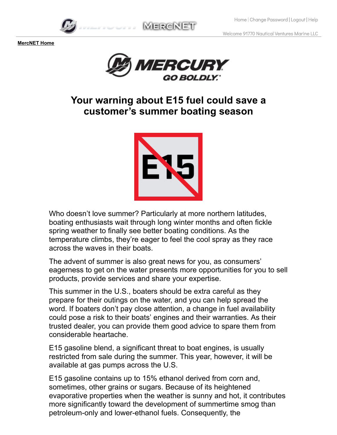Welcome 91770 Nautical Ventures Marine LLC



**MERCNET** 



## **Your warning about E15 fuel could save a customer's summer boating season**



Who doesn't love summer? Particularly at more northern latitudes, boating enthusiasts wait through long winter months and often fickle spring weather to finally see better boating conditions. As the temperature climbs, they're eager to feel the cool spray as they race across the waves in their boats.

The advent of summer is also great news for you, as consumers' eagerness to get on the water presents more opportunities for you to sell products, provide services and share your expertise.

This summer in the U.S., boaters should be extra careful as they prepare for their outings on the water, and you can help spread the word. If boaters don't pay close attention, a change in fuel availability could pose a risk to their boats' engines and their warranties. As their trusted dealer, you can provide them good advice to spare them from considerable heartache.

E15 gasoline blend, a significant threat to boat engines, is usually restricted from sale during the summer. This year, however, it will be available at gas pumps across the U.S.

E15 gasoline contains up to 15% ethanol derived from corn and, sometimes, other grains or sugars. Because of its heightened evaporative properties when the weather is sunny and hot, it contributes more significantly toward the development of summertime smog than petroleum-only and lower-ethanol fuels. Consequently, the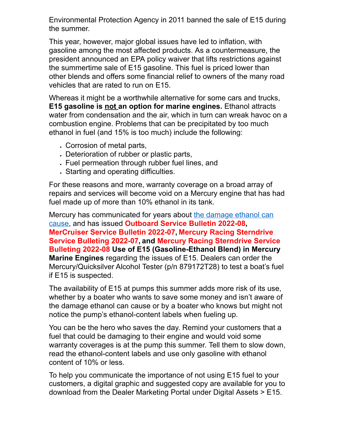Environmental Protection Agency in 2011 banned the sale of E15 during the summer.

This year, however, major global issues have led to inflation, with gasoline among the most affected products. As a countermeasure, the president announced an EPA policy waiver that lifts restrictions against the summertime sale of E15 gasoline. This fuel is priced lower than other blends and offers some financial relief to owners of the many road vehicles that are rated to run on E15.

Whereas it might be a worthwhile alternative for some cars and trucks, **E15 gasoline is not an option for marine engines.** Ethanol attracts water from condensation and the air, which in turn can wreak havoc on a combustion engine. Problems that can be precipitated by too much ethanol in fuel (and 15% is too much) include the following:

- Corrosion of metal parts,
- Deterioration of rubber or plastic parts,
- Fuel permeation through rubber fuel lines, and
- Starting and operating difficulties.

For these reasons and more, warranty coverage on a broad array of repairs and services will become void on a Mercury engine that has had fuel made up of more than 10% ethanol in its tank.

[Mercury has communicated for years about the damage ethanol can](https://www.mercurymarine.com/en/us/faq/?category%5b%5d=fuel-and-fuel-systems) cause, and has issued **Outboard Service Bulletin 2022-08, MerCruiser Service Bulletin 2022-07, Mercury Racing Sterndrive Service Bulleting 2022-07, and Mercury Racing Sterndrive Service Bulleting 2022-08 Use of E15 (Gasoline-Ethanol Blend) in Mercury Marine Engines** regarding the issues of E15. Dealers can order the Mercury/Quicksilver Alcohol Tester (p/n 879172T28) to test a boat's fuel if E15 is suspected.

The availability of E15 at pumps this summer adds more risk of its use, whether by a boater who wants to save some money and isn't aware of the damage ethanol can cause or by a boater who knows but might not notice the pump's ethanol-content labels when fueling up.

You can be the hero who saves the day. Remind your customers that a fuel that could be damaging to their engine and would void some warranty coverages is at the pump this summer. Tell them to slow down, read the ethanol-content labels and use only gasoline with ethanol content of 10% or less.

To help you communicate the importance of not using E15 fuel to your customers, a digital graphic and suggested copy are available for you to download from the Dealer Marketing Portal under Digital Assets > E15.